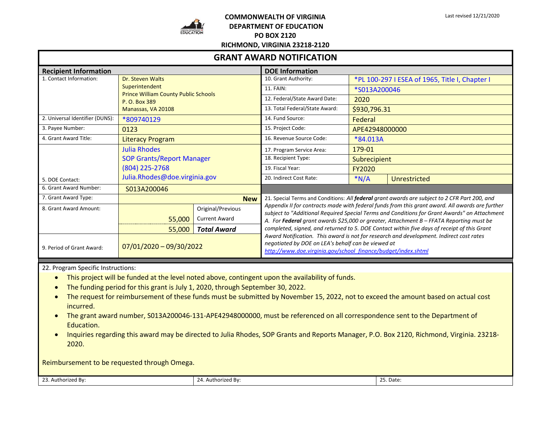

## **COMMONWEALTH OF VIRGINIA DEPARTMENT OF EDUCATION PO BOX 2120**

Last revised 12/21/2020

| <b>GRANT AWARD NOTIFICATION</b> |                                                                                                                          |                      |                                                                                                                                                                                                                                                                                            |                                                |                     |
|---------------------------------|--------------------------------------------------------------------------------------------------------------------------|----------------------|--------------------------------------------------------------------------------------------------------------------------------------------------------------------------------------------------------------------------------------------------------------------------------------------|------------------------------------------------|---------------------|
| <b>Recipient Information</b>    |                                                                                                                          |                      | <b>DOE Information</b>                                                                                                                                                                                                                                                                     |                                                |                     |
| 1. Contact Information:         | Dr. Steven Walts<br>Superintendent<br><b>Prince William County Public Schools</b><br>P. O. Box 389<br>Manassas, VA 20108 |                      | 10. Grant Authority:                                                                                                                                                                                                                                                                       | *PL 100-297 I ESEA of 1965, Title I, Chapter I |                     |
|                                 |                                                                                                                          |                      | 11. FAIN:                                                                                                                                                                                                                                                                                  | *S013A200046                                   |                     |
|                                 |                                                                                                                          |                      | 12. Federal/State Award Date:                                                                                                                                                                                                                                                              | 2020                                           |                     |
|                                 |                                                                                                                          |                      | 13. Total Federal/State Award:                                                                                                                                                                                                                                                             | \$930,796.31                                   |                     |
| 2. Universal Identifier (DUNS): | *809740129                                                                                                               |                      | 14. Fund Source:                                                                                                                                                                                                                                                                           | Federal                                        |                     |
| 3. Payee Number:                | 0123                                                                                                                     |                      | 15. Project Code:                                                                                                                                                                                                                                                                          | APE42948000000                                 |                     |
| 4. Grant Award Title:           | <b>Literacy Program</b>                                                                                                  |                      | 16. Revenue Source Code:                                                                                                                                                                                                                                                                   | *84.013A                                       |                     |
|                                 | <b>Julia Rhodes</b><br><b>SOP Grants/Report Manager</b><br>$(804)$ 225-2768                                              |                      | 17. Program Service Area:                                                                                                                                                                                                                                                                  | 179-01                                         |                     |
|                                 |                                                                                                                          |                      | 18. Recipient Type:                                                                                                                                                                                                                                                                        | <b>Subrecipient</b>                            |                     |
|                                 |                                                                                                                          |                      | 19. Fiscal Year:                                                                                                                                                                                                                                                                           | <b>FY2020</b>                                  |                     |
| 5. DOE Contact:                 | Julia.Rhodes@doe.virginia.gov                                                                                            |                      | 20. Indirect Cost Rate:                                                                                                                                                                                                                                                                    | $*N/A$                                         | <b>Unrestricted</b> |
| 6. Grant Award Number:          | S013A200046                                                                                                              |                      |                                                                                                                                                                                                                                                                                            |                                                |                     |
| 7. Grant Award Type:            | <b>New</b>                                                                                                               |                      | 21. Special Terms and Conditions: All federal grant awards are subject to 2 CFR Part 200, and                                                                                                                                                                                              |                                                |                     |
| 8. Grant Award Amount:          |                                                                                                                          | Original/Previous    | Appendix II for contracts made with federal funds from this grant award. All awards are further<br>subject to "Additional Required Special Terms and Conditions for Grant Awards" on Attachment<br>A. For Federal grant awards \$25,000 or greater, Attachment B - FFATA Reporting must be |                                                |                     |
|                                 | 55,000                                                                                                                   | <b>Current Award</b> |                                                                                                                                                                                                                                                                                            |                                                |                     |
|                                 | 55,000                                                                                                                   | <b>Total Award</b>   | completed, signed, and returned to 5. DOE Contact within five days of receipt of this Grant                                                                                                                                                                                                |                                                |                     |
| 9. Period of Grant Award:       | $07/01/2020 - 09/30/2022$                                                                                                |                      | Award Notification. This award is not for research and development. Indirect cost rates<br>negotiated by DOE on LEA's behalf can be viewed at<br>http://www.doe.virginia.gov/school_finance/budget/index.shtml                                                                             |                                                |                     |

22. Program Specific Instructions:

- This project will be funded at the level noted above, contingent upon the availability of funds.
- The funding period for this grant is July 1, 2020, through September 30, 2022.
- The request for reimbursement of these funds must be submitted by November 15, 2022, not to exceed the amount based on actual cost incurred.
- The grant award number, S013A200046-131-APE42948000000, must be referenced on all correspondence sent to the Department of Education.
- Inquiries regarding this award may be directed to Julia Rhodes, SOP Grants and Reports Manager, P.O. Box 2120, Richmond, Virginia. 23218- 2020.

Reimbursement to be requested through Omega.

23. Authorized By: 25. Date: 24. Authorized By: 25. Date: 25. Date: 25. Date: